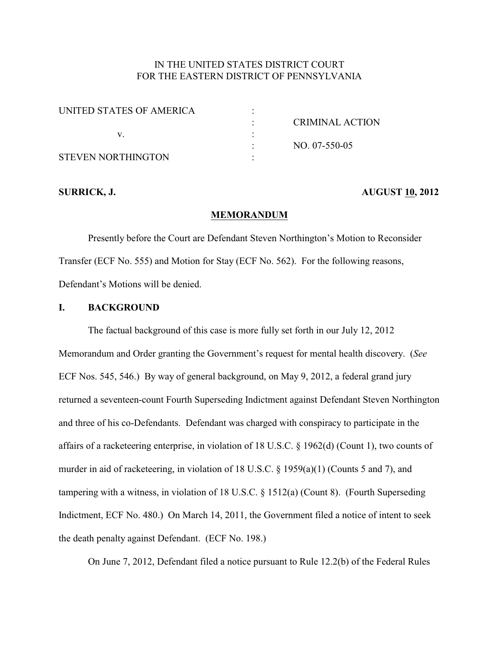# IN THE UNITED STATES DISTRICT COURT FOR THE EASTERN DISTRICT OF PENNSYLVANIA

| UNITED STATES OF AMERICA  |                 |
|---------------------------|-----------------|
|                           | CRIMINAL ACTION |
|                           |                 |
|                           | $NO. 07-550-05$ |
| <b>STEVEN NORTHINGTON</b> |                 |

### **SURRICK, J. AUGUST 10, 2012**

#### **MEMORANDUM**

Presently before the Court are Defendant Steven Northington's Motion to Reconsider Transfer (ECF No. 555) and Motion for Stay (ECF No. 562). For the following reasons, Defendant's Motions will be denied.

## **I. BACKGROUND**

The factual background of this case is more fully set forth in our July 12, 2012 Memorandum and Order granting the Government's request for mental health discovery. (*See* ECF Nos. 545, 546.) By way of general background, on May 9, 2012, a federal grand jury returned a seventeen-count Fourth Superseding Indictment against Defendant Steven Northington and three of his co-Defendants. Defendant was charged with conspiracy to participate in the affairs of a racketeering enterprise, in violation of 18 U.S.C. § 1962(d) (Count 1), two counts of murder in aid of racketeering, in violation of 18 U.S.C. § 1959(a)(1) (Counts 5 and 7), and tampering with a witness, in violation of 18 U.S.C. § 1512(a) (Count 8). (Fourth Superseding Indictment, ECF No. 480.) On March 14, 2011, the Government filed a notice of intent to seek the death penalty against Defendant. (ECF No. 198.)

On June 7, 2012, Defendant filed a notice pursuant to Rule 12.2(b) of the Federal Rules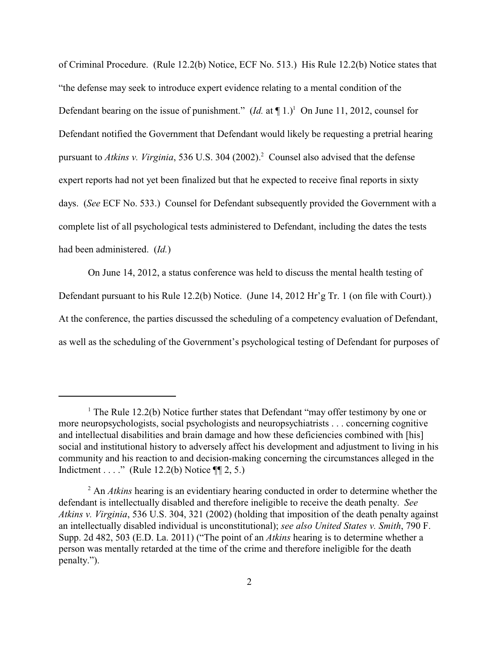of Criminal Procedure. (Rule 12.2(b) Notice, ECF No. 513.) His Rule 12.2(b) Notice states that "the defense may seek to introduce expert evidence relating to a mental condition of the Defendant bearing on the issue of punishment." (*Id.* at  $\P$  1.)<sup>1</sup> On June 11, 2012, counsel for Defendant notified the Government that Defendant would likely be requesting a pretrial hearing pursuant to *Atkins v. Virginia*, 536 U.S. 304 (2002).<sup>2</sup> Counsel also advised that the defense expert reports had not yet been finalized but that he expected to receive final reports in sixty days. (*See* ECF No. 533.) Counsel for Defendant subsequently provided the Government with a complete list of all psychological tests administered to Defendant, including the dates the tests had been administered. (*Id.*)

On June 14, 2012, a status conference was held to discuss the mental health testing of Defendant pursuant to his Rule 12.2(b) Notice. (June 14, 2012 Hr'g Tr. 1 (on file with Court).) At the conference, the parties discussed the scheduling of a competency evaluation of Defendant, as well as the scheduling of the Government's psychological testing of Defendant for purposes of

<sup>&</sup>lt;sup>1</sup> The Rule 12.2(b) Notice further states that Defendant "may offer testimony by one or more neuropsychologists, social psychologists and neuropsychiatrists . . . concerning cognitive and intellectual disabilities and brain damage and how these deficiencies combined with [his] social and institutional history to adversely affect his development and adjustment to living in his community and his reaction to and decision-making concerning the circumstances alleged in the Indictment . . . ." (Rule 12.2(b) Notice  $\P$ [2, 5.)

<sup>&</sup>lt;sup>2</sup> An *Atkins* hearing is an evidentiary hearing conducted in order to determine whether the defendant is intellectually disabled and therefore ineligible to receive the death penalty. *See Atkins v. Virginia*, 536 U.S. 304, 321 (2002) (holding that imposition of the death penalty against an intellectually disabled individual is unconstitutional); *see also United States v. Smith*, 790 F. Supp. 2d 482, 503 (E.D. La. 2011) ("The point of an *Atkins* hearing is to determine whether a person was mentally retarded at the time of the crime and therefore ineligible for the death penalty.").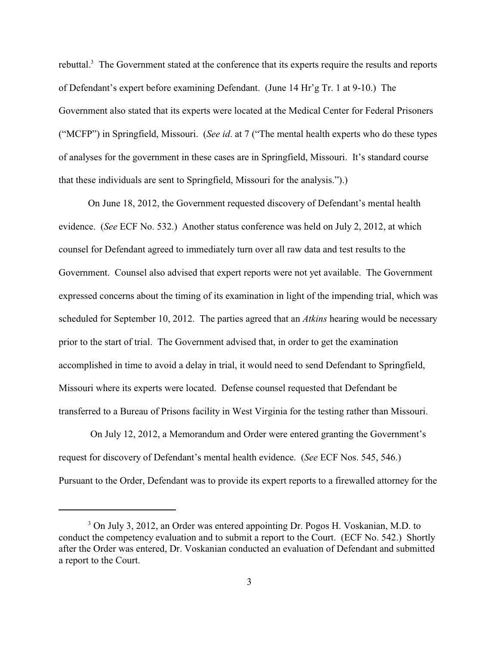rebuttal. $3$  The Government stated at the conference that its experts require the results and reports of Defendant's expert before examining Defendant. (June 14 Hr'g Tr. 1 at 9-10.) The Government also stated that its experts were located at the Medical Center for Federal Prisoners ("MCFP") in Springfield, Missouri. (*See id*. at 7 ("The mental health experts who do these types of analyses for the government in these cases are in Springfield, Missouri. It's standard course that these individuals are sent to Springfield, Missouri for the analysis.").)

On June 18, 2012, the Government requested discovery of Defendant's mental health evidence. (*See* ECF No. 532.) Another status conference was held on July 2, 2012, at which counsel for Defendant agreed to immediately turn over all raw data and test results to the Government. Counsel also advised that expert reports were not yet available. The Government expressed concerns about the timing of its examination in light of the impending trial, which was scheduled for September 10, 2012. The parties agreed that an *Atkins* hearing would be necessary prior to the start of trial. The Government advised that, in order to get the examination accomplished in time to avoid a delay in trial, it would need to send Defendant to Springfield, Missouri where its experts were located. Defense counsel requested that Defendant be transferred to a Bureau of Prisons facility in West Virginia for the testing rather than Missouri.

 On July 12, 2012, a Memorandum and Order were entered granting the Government's request for discovery of Defendant's mental health evidence. (*See* ECF Nos. 545, 546.) Pursuant to the Order, Defendant was to provide its expert reports to a firewalled attorney for the

<sup>&</sup>lt;sup>3</sup> On July 3, 2012, an Order was entered appointing Dr. Pogos H. Voskanian, M.D. to conduct the competency evaluation and to submit a report to the Court. (ECF No. 542.) Shortly after the Order was entered, Dr. Voskanian conducted an evaluation of Defendant and submitted a report to the Court.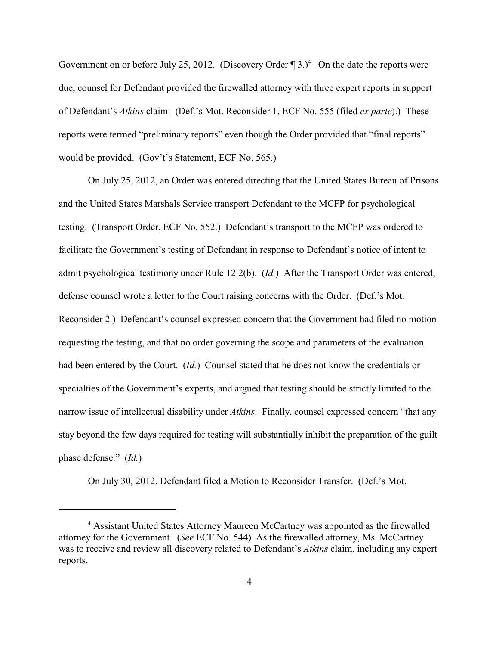Government on or before July 25, 2012. (Discovery Order  $\P$  3.)<sup>4</sup> On the date the reports were due, counsel for Defendant provided the firewalled attorney with three expert reports in support of Defendant's *Atkins* claim. (Def.'s Mot. Reconsider 1, ECF No. 555 (filed *ex parte*).)These reports were termed "preliminary reports" even though the Order provided that "final reports" would be provided. (Gov't's Statement, ECF No. 565.)

On July 25, 2012, an Order was entered directing that the United States Bureau of Prisons and the United States Marshals Service transport Defendant to the MCFP for psychological testing. (Transport Order, ECF No. 552.) Defendant's transport to the MCFP was ordered to facilitate the Government's testing of Defendant in response to Defendant's notice of intent to admit psychological testimony under Rule 12.2(b). (*Id.*) After the Transport Order was entered, defense counsel wrote a letter to the Court raising concerns with the Order. (Def.'s Mot. Reconsider 2.) Defendant's counsel expressed concern that the Government had filed no motion requesting the testing, and that no order governing the scope and parameters of the evaluation had been entered by the Court. (*Id.*) Counsel stated that he does not know the credentials or specialties of the Government's experts, and argued that testing should be strictly limited to the narrow issue of intellectual disability under *Atkins*. Finally, counsel expressed concern "that any stay beyond the few days required for testing will substantially inhibit the preparation of the guilt phase defense." (*Id.*)

On July 30, 2012, Defendant filed a Motion to Reconsider Transfer. (Def.'s Mot.

<sup>&</sup>lt;sup>4</sup> Assistant United States Attorney Maureen McCartney was appointed as the firewalled attorney for the Government. (*See* ECF No. 544) As the firewalled attorney, Ms. McCartney was to receive and review all discovery related to Defendant's *Atkins* claim, including any expert reports.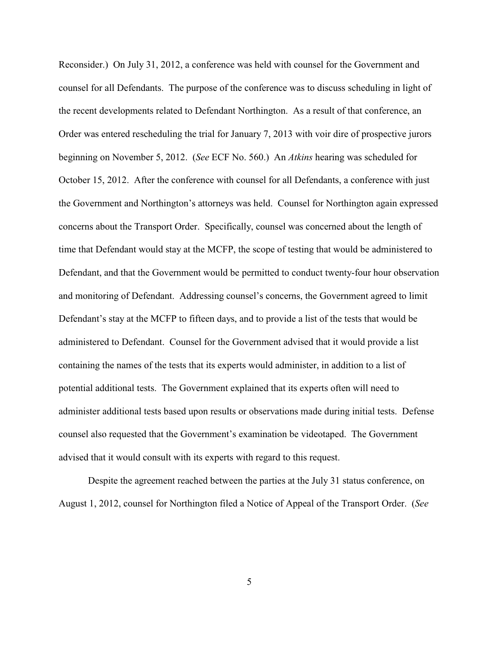Reconsider.) On July 31, 2012, a conference was held with counsel for the Government and counsel for all Defendants. The purpose of the conference was to discuss scheduling in light of the recent developments related to Defendant Northington. As a result of that conference, an Order was entered rescheduling the trial for January 7, 2013 with voir dire of prospective jurors beginning on November 5, 2012. (*See* ECF No. 560.) An *Atkins* hearing was scheduled for October 15, 2012. After the conference with counsel for all Defendants, a conference with just the Government and Northington's attorneys was held. Counsel for Northington again expressed concerns about the Transport Order. Specifically, counsel was concerned about the length of time that Defendant would stay at the MCFP, the scope of testing that would be administered to Defendant, and that the Government would be permitted to conduct twenty-four hour observation and monitoring of Defendant. Addressing counsel's concerns, the Government agreed to limit Defendant's stay at the MCFP to fifteen days, and to provide a list of the tests that would be administered to Defendant. Counsel for the Government advised that it would provide a list containing the names of the tests that its experts would administer, in addition to a list of potential additional tests. The Government explained that its experts often will need to administer additional tests based upon results or observations made during initial tests. Defense counsel also requested that the Government's examination be videotaped. The Government advised that it would consult with its experts with regard to this request.

Despite the agreement reached between the parties at the July 31 status conference, on August 1, 2012, counsel for Northington filed a Notice of Appeal of the Transport Order. (*See*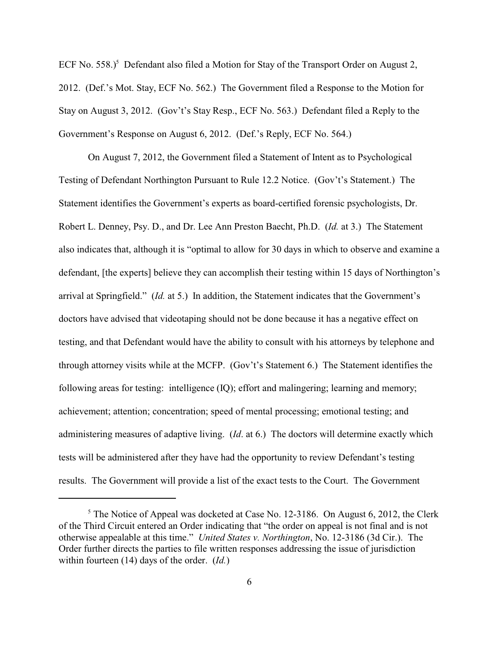ECF No. 558.)<sup>5</sup> Defendant also filed a Motion for Stay of the Transport Order on August 2, 2012. (Def.'s Mot. Stay, ECF No. 562.) The Government filed a Response to the Motion for Stay on August 3, 2012. (Gov't's Stay Resp., ECF No. 563.) Defendant filed a Reply to the Government's Response on August 6, 2012. (Def.'s Reply, ECF No. 564.)

On August 7, 2012, the Government filed a Statement of Intent as to Psychological Testing of Defendant Northington Pursuant to Rule 12.2 Notice. (Gov't's Statement.) The Statement identifies the Government's experts as board-certified forensic psychologists, Dr. Robert L. Denney, Psy. D., and Dr. Lee Ann Preston Baecht, Ph.D. (*Id.* at 3.) The Statement also indicates that, although it is "optimal to allow for 30 days in which to observe and examine a defendant, [the experts] believe they can accomplish their testing within 15 days of Northington's arrival at Springfield." (*Id.* at 5.) In addition, the Statement indicates that the Government's doctors have advised that videotaping should not be done because it has a negative effect on testing, and that Defendant would have the ability to consult with his attorneys by telephone and through attorney visits while at the MCFP. (Gov't's Statement 6.) The Statement identifies the following areas for testing: intelligence (IQ); effort and malingering; learning and memory; achievement; attention; concentration; speed of mental processing; emotional testing; and administering measures of adaptive living. (*Id*. at 6.) The doctors will determine exactly which tests will be administered after they have had the opportunity to review Defendant's testing results. The Government will provide a list of the exact tests to the Court. The Government

 $5$  The Notice of Appeal was docketed at Case No. 12-3186. On August 6, 2012, the Clerk of the Third Circuit entered an Order indicating that "the order on appeal is not final and is not otherwise appealable at this time." *United States v. Northington*, No. 12-3186 (3d Cir.). The Order further directs the parties to file written responses addressing the issue of jurisdiction within fourteen (14) days of the order. (*Id.*)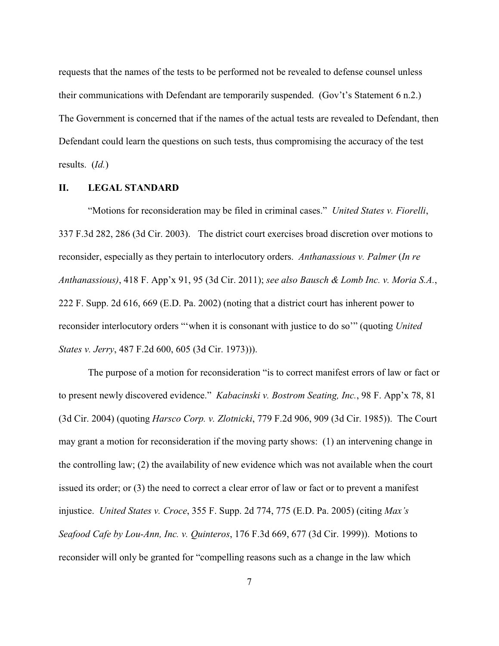requests that the names of the tests to be performed not be revealed to defense counsel unless their communications with Defendant are temporarily suspended. (Gov't's Statement 6 n.2.) The Government is concerned that if the names of the actual tests are revealed to Defendant, then Defendant could learn the questions on such tests, thus compromising the accuracy of the test results. (*Id.*)

#### **II. LEGAL STANDARD**

"Motions for reconsideration may be filed in criminal cases." *United States v. Fiorelli*, 337 F.3d 282, 286 (3d Cir. 2003). The district court exercises broad discretion over motions to reconsider, especially as they pertain to interlocutory orders. *Anthanassious v. Palmer* (*In re Anthanassious)*, 418 F. App'x 91, 95 (3d Cir. 2011); *see also Bausch & Lomb Inc. v. Moria S.A.*, 222 F. Supp. 2d 616, 669 (E.D. Pa. 2002) (noting that a district court has inherent power to reconsider interlocutory orders "'when it is consonant with justice to do so'" (quoting *United States v. Jerry*, 487 F.2d 600, 605 (3d Cir. 1973))).

The purpose of a motion for reconsideration "is to correct manifest errors of law or fact or to present newly discovered evidence." *Kabacinski v. Bostrom Seating, Inc.*, 98 F. App'x 78, 81 (3d Cir. 2004) (quoting *Harsco Corp. v. Zlotnicki*, 779 F.2d 906, 909 (3d Cir. 1985)). The Court may grant a motion for reconsideration if the moving party shows: (1) an intervening change in the controlling law; (2) the availability of new evidence which was not available when the court issued its order; or (3) the need to correct a clear error of law or fact or to prevent a manifest injustice. *United States v. Croce*, 355 F. Supp. 2d 774, 775 (E.D. Pa. 2005) (citing *Max's Seafood Cafe by Lou-Ann, Inc. v. Quinteros*, 176 F.3d 669, 677 (3d Cir. 1999)). Motions to reconsider will only be granted for "compelling reasons such as a change in the law which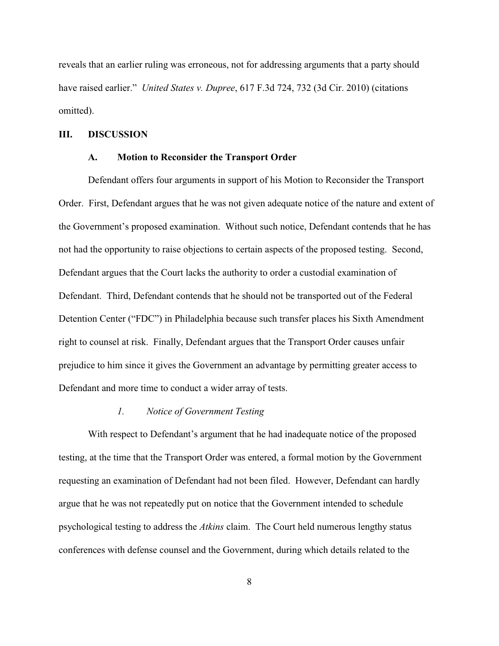reveals that an earlier ruling was erroneous, not for addressing arguments that a party should have raised earlier." *United States v. Dupree*, 617 F.3d 724, 732 (3d Cir. 2010) (citations omitted).

### **III. DISCUSSION**

#### **A. Motion to Reconsider the Transport Order**

Defendant offers four arguments in support of his Motion to Reconsider the Transport Order. First, Defendant argues that he was not given adequate notice of the nature and extent of the Government's proposed examination. Without such notice, Defendant contends that he has not had the opportunity to raise objections to certain aspects of the proposed testing. Second, Defendant argues that the Court lacks the authority to order a custodial examination of Defendant. Third, Defendant contends that he should not be transported out of the Federal Detention Center ("FDC") in Philadelphia because such transfer places his Sixth Amendment right to counsel at risk. Finally, Defendant argues that the Transport Order causes unfair prejudice to him since it gives the Government an advantage by permitting greater access to Defendant and more time to conduct a wider array of tests.

#### *1. Notice of Government Testing*

With respect to Defendant's argument that he had inadequate notice of the proposed testing, at the time that the Transport Order was entered, a formal motion by the Government requesting an examination of Defendant had not been filed. However, Defendant can hardly argue that he was not repeatedly put on notice that the Government intended to schedule psychological testing to address the *Atkins* claim. The Court held numerous lengthy status conferences with defense counsel and the Government, during which details related to the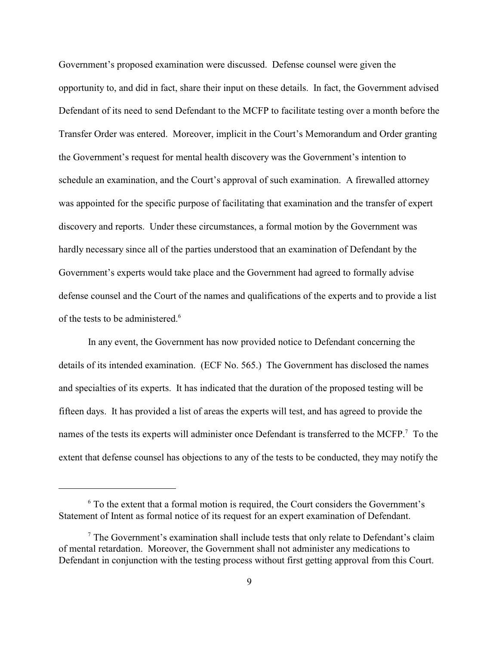Government's proposed examination were discussed. Defense counsel were given the opportunity to, and did in fact, share their input on these details. In fact, the Government advised Defendant of its need to send Defendant to the MCFP to facilitate testing over a month before the Transfer Order was entered. Moreover, implicit in the Court's Memorandum and Order granting the Government's request for mental health discovery was the Government's intention to schedule an examination, and the Court's approval of such examination. A firewalled attorney was appointed for the specific purpose of facilitating that examination and the transfer of expert discovery and reports. Under these circumstances, a formal motion by the Government was hardly necessary since all of the parties understood that an examination of Defendant by the Government's experts would take place and the Government had agreed to formally advise defense counsel and the Court of the names and qualifications of the experts and to provide a list of the tests to be administered.<sup>6</sup>

In any event, the Government has now provided notice to Defendant concerning the details of its intended examination. (ECF No. 565.) The Government has disclosed the names and specialties of its experts. It has indicated that the duration of the proposed testing will be fifteen days. It has provided a list of areas the experts will test, and has agreed to provide the names of the tests its experts will administer once Defendant is transferred to the MCFP.<sup>7</sup> To the extent that defense counsel has objections to any of the tests to be conducted, they may notify the

 $6$  To the extent that a formal motion is required, the Court considers the Government's Statement of Intent as formal notice of its request for an expert examination of Defendant.

 $\frac{7}{7}$  The Government's examination shall include tests that only relate to Defendant's claim of mental retardation. Moreover, the Government shall not administer any medications to Defendant in conjunction with the testing process without first getting approval from this Court.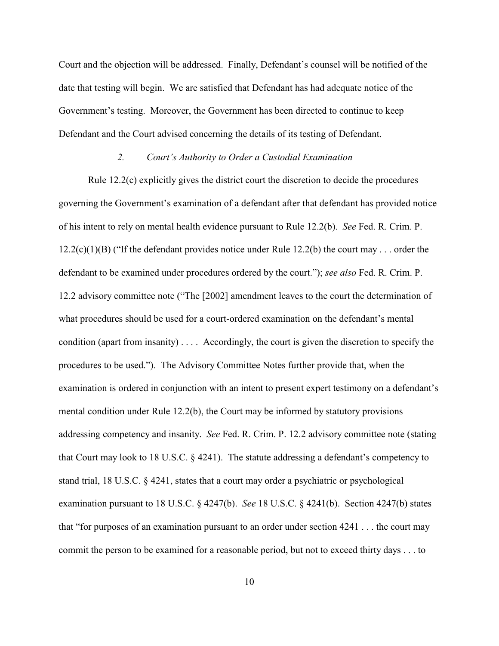Court and the objection will be addressed. Finally, Defendant's counsel will be notified of the date that testing will begin. We are satisfied that Defendant has had adequate notice of the Government's testing. Moreover, the Government has been directed to continue to keep Defendant and the Court advised concerning the details of its testing of Defendant.

#### *2. Court's Authority to Order a Custodial Examination*

Rule 12.2(c) explicitly gives the district court the discretion to decide the procedures governing the Government's examination of a defendant after that defendant has provided notice of his intent to rely on mental health evidence pursuant to Rule 12.2(b). *See* Fed. R. Crim. P.  $12.2(c)(1)(B)$  ("If the defendant provides notice under Rule 12.2(b) the court may . . . order the defendant to be examined under procedures ordered by the court."); *see also* Fed. R. Crim. P. 12.2 advisory committee note ("The [2002] amendment leaves to the court the determination of what procedures should be used for a court-ordered examination on the defendant's mental condition (apart from insanity) . . . . Accordingly, the court is given the discretion to specify the procedures to be used."). The Advisory Committee Notes further provide that, when the examination is ordered in conjunction with an intent to present expert testimony on a defendant's mental condition under Rule  $12.2(b)$ , the Court may be informed by statutory provisions addressing competency and insanity. *See* Fed. R. Crim. P. 12.2 advisory committee note (stating that Court may look to 18 U.S.C. § 4241). The statute addressing a defendant's competency to stand trial, 18 U.S.C. § 4241, states that a court may order a psychiatric or psychological examination pursuant to 18 U.S.C. § 4247(b). *See* 18 U.S.C. § 4241(b). Section 4247(b) states that "for purposes of an examination pursuant to an order under section 4241 . . . the court may commit the person to be examined for a reasonable period, but not to exceed thirty days . . . to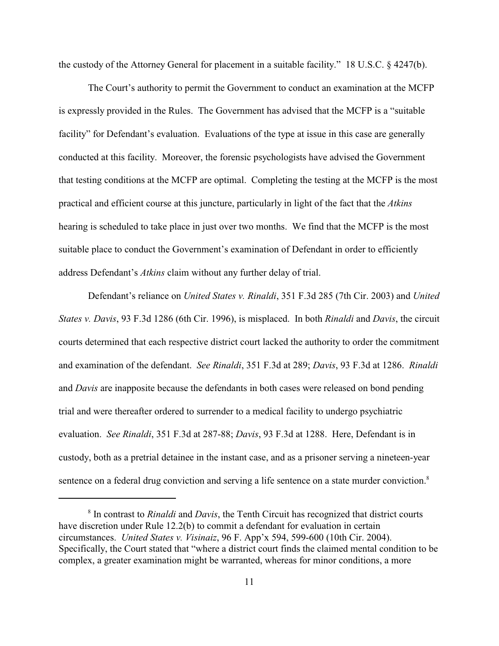the custody of the Attorney General for placement in a suitable facility." 18 U.S.C. § 4247(b).

The Court's authority to permit the Government to conduct an examination at the MCFP is expressly provided in the Rules. The Government has advised that the MCFP is a "suitable facility" for Defendant's evaluation. Evaluations of the type at issue in this case are generally conducted at this facility. Moreover, the forensic psychologists have advised the Government that testing conditions at the MCFP are optimal. Completing the testing at the MCFP is the most practical and efficient course at this juncture, particularly in light of the fact that the *Atkins* hearing is scheduled to take place in just over two months. We find that the MCFP is the most suitable place to conduct the Government's examination of Defendant in order to efficiently address Defendant's *Atkins* claim without any further delay of trial.

Defendant's reliance on *United States v. Rinaldi*, 351 F.3d 285 (7th Cir. 2003) and *United States v. Davis*, 93 F.3d 1286 (6th Cir. 1996), is misplaced. In both *Rinaldi* and *Davis*, the circuit courts determined that each respective district court lacked the authority to order the commitment and examination of the defendant. *See Rinaldi*, 351 F.3d at 289; *Davis*, 93 F.3d at 1286. *Rinaldi* and *Davis* are inapposite because the defendants in both cases were released on bond pending trial and were thereafter ordered to surrender to a medical facility to undergo psychiatric evaluation. *See Rinaldi*, 351 F.3d at 287-88; *Davis*, 93 F.3d at 1288. Here, Defendant is in custody, both as a pretrial detainee in the instant case, and as a prisoner serving a nineteen-year sentence on a federal drug conviction and serving a life sentence on a state murder conviction.<sup>8</sup>

<sup>&</sup>lt;sup>8</sup> In contrast to *Rinaldi* and *Davis*, the Tenth Circuit has recognized that district courts have discretion under Rule 12.2(b) to commit a defendant for evaluation in certain circumstances. *United States v. Visinaiz*, 96 F. App'x 594, 599-600 (10th Cir. 2004). Specifically, the Court stated that "where a district court finds the claimed mental condition to be complex, a greater examination might be warranted, whereas for minor conditions, a more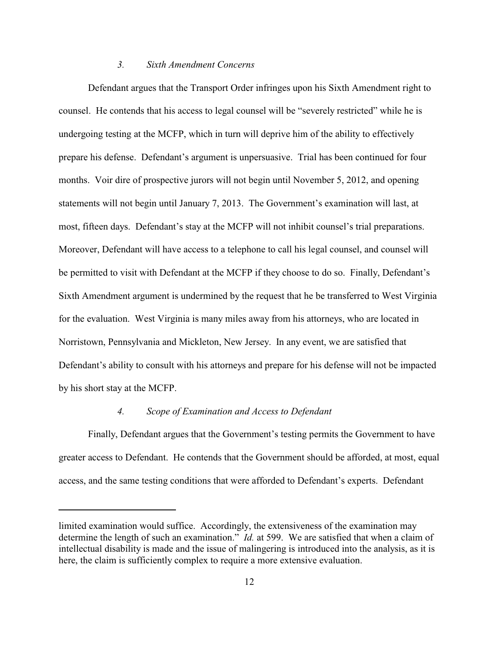#### *3. Sixth Amendment Concerns*

Defendant argues that the Transport Order infringes upon his Sixth Amendment right to counsel. He contends that his access to legal counsel will be "severely restricted" while he is undergoing testing at the MCFP, which in turn will deprive him of the ability to effectively prepare his defense. Defendant's argument is unpersuasive. Trial has been continued for four months. Voir dire of prospective jurors will not begin until November 5, 2012, and opening statements will not begin until January 7, 2013. The Government's examination will last, at most, fifteen days. Defendant's stay at the MCFP will not inhibit counsel's trial preparations. Moreover, Defendant will have access to a telephone to call his legal counsel, and counsel will be permitted to visit with Defendant at the MCFP if they choose to do so. Finally, Defendant's Sixth Amendment argument is undermined by the request that he be transferred to West Virginia for the evaluation. West Virginia is many miles away from his attorneys, who are located in Norristown, Pennsylvania and Mickleton, New Jersey. In any event, we are satisfied that Defendant's ability to consult with his attorneys and prepare for his defense will not be impacted by his short stay at the MCFP.

#### *4. Scope of Examination and Access to Defendant*

Finally, Defendant argues that the Government's testing permits the Government to have greater access to Defendant. He contends that the Government should be afforded, at most, equal access, and the same testing conditions that were afforded to Defendant's experts. Defendant

limited examination would suffice. Accordingly, the extensiveness of the examination may determine the length of such an examination." *Id.* at 599. We are satisfied that when a claim of intellectual disability is made and the issue of malingering is introduced into the analysis, as it is here, the claim is sufficiently complex to require a more extensive evaluation.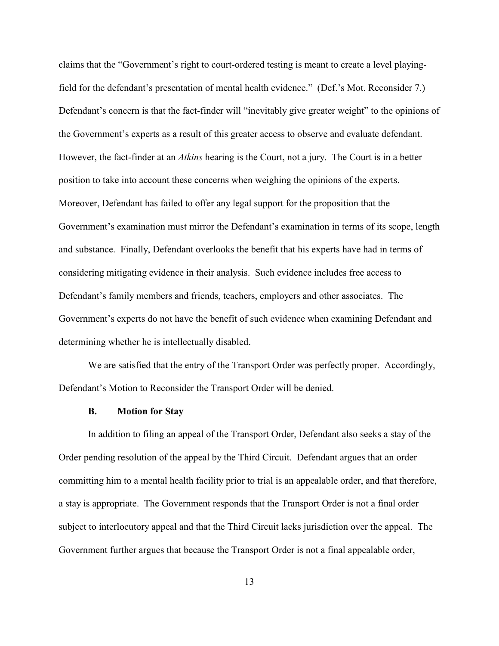claims that the "Government's right to court-ordered testing is meant to create a level playingfield for the defendant's presentation of mental health evidence." (Def.'s Mot. Reconsider 7.) Defendant's concern is that the fact-finder will "inevitably give greater weight" to the opinions of the Government's experts as a result of this greater access to observe and evaluate defendant. However, the fact-finder at an *Atkins* hearing is the Court, not a jury. The Court is in a better position to take into account these concerns when weighing the opinions of the experts. Moreover, Defendant has failed to offer any legal support for the proposition that the Government's examination must mirror the Defendant's examination in terms of its scope, length and substance. Finally, Defendant overlooks the benefit that his experts have had in terms of considering mitigating evidence in their analysis. Such evidence includes free access to Defendant's family members and friends, teachers, employers and other associates. The Government's experts do not have the benefit of such evidence when examining Defendant and determining whether he is intellectually disabled.

We are satisfied that the entry of the Transport Order was perfectly proper. Accordingly, Defendant's Motion to Reconsider the Transport Order will be denied.

#### **B. Motion for Stay**

In addition to filing an appeal of the Transport Order, Defendant also seeks a stay of the Order pending resolution of the appeal by the Third Circuit. Defendant argues that an order committing him to a mental health facility prior to trial is an appealable order, and that therefore, a stay is appropriate. The Government responds that the Transport Order is not a final order subject to interlocutory appeal and that the Third Circuit lacks jurisdiction over the appeal. The Government further argues that because the Transport Order is not a final appealable order,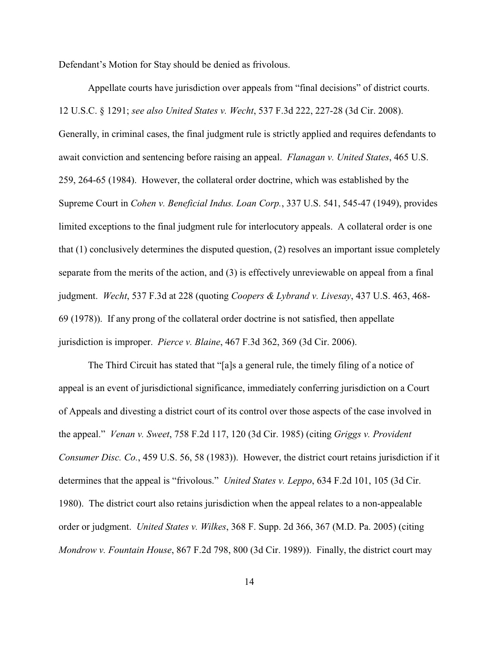Defendant's Motion for Stay should be denied as frivolous.

Appellate courts have jurisdiction over appeals from "final decisions" of district courts. 12 U.S.C. § 1291; *see also United States v. Wecht*, 537 F.3d 222, 227-28 (3d Cir. 2008). Generally, in criminal cases, the final judgment rule is strictly applied and requires defendants to await conviction and sentencing before raising an appeal. *Flanagan v. United States*, 465 U.S. 259, 264-65 (1984). However, the collateral order doctrine, which was established by the Supreme Court in *Cohen v. Beneficial Indus. Loan Corp.*, 337 U.S. 541, 545-47 (1949), provides limited exceptions to the final judgment rule for interlocutory appeals. A collateral order is one that (1) conclusively determines the disputed question, (2) resolves an important issue completely separate from the merits of the action, and (3) is effectively unreviewable on appeal from a final judgment. *Wecht*, 537 F.3d at 228 (quoting *Coopers & Lybrand v. Livesay*, 437 U.S. 463, 468- 69 (1978)). If any prong of the collateral order doctrine is not satisfied, then appellate jurisdiction is improper. *Pierce v. Blaine*, 467 F.3d 362, 369 (3d Cir. 2006).

The Third Circuit has stated that "[a]s a general rule, the timely filing of a notice of appeal is an event of jurisdictional significance, immediately conferring jurisdiction on a Court of Appeals and divesting a district court of its control over those aspects of the case involved in the appeal." *Venan v. Sweet*, 758 F.2d 117, 120 (3d Cir. 1985) (citing *Griggs v. Provident Consumer Disc. Co.*, 459 U.S. 56, 58 (1983)). However, the district court retains jurisdiction if it determines that the appeal is "frivolous." *United States v. Leppo*, 634 F.2d 101, 105 (3d Cir. 1980). The district court also retains jurisdiction when the appeal relates to a non-appealable order or judgment. *United States v. Wilkes*, 368 F. Supp. 2d 366, 367 (M.D. Pa. 2005) (citing *Mondrow v. Fountain House*, 867 F.2d 798, 800 (3d Cir. 1989)). Finally, the district court may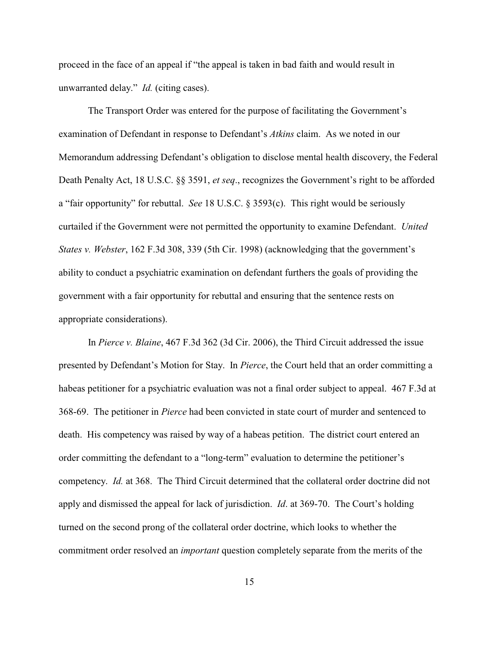proceed in the face of an appeal if "the appeal is taken in bad faith and would result in unwarranted delay." *Id.* (citing cases).

The Transport Order was entered for the purpose of facilitating the Government's examination of Defendant in response to Defendant's *Atkins* claim. As we noted in our Memorandum addressing Defendant's obligation to disclose mental health discovery, the Federal Death Penalty Act, 18 U.S.C. §§ 3591, *et seq*., recognizes the Government's right to be afforded a "fair opportunity" for rebuttal. *See* 18 U.S.C. § 3593(c). This right would be seriously curtailed if the Government were not permitted the opportunity to examine Defendant. *United States v. Webster*, 162 F.3d 308, 339 (5th Cir. 1998) (acknowledging that the government's ability to conduct a psychiatric examination on defendant furthers the goals of providing the government with a fair opportunity for rebuttal and ensuring that the sentence rests on appropriate considerations).

In *Pierce v. Blaine*, 467 F.3d 362 (3d Cir. 2006), the Third Circuit addressed the issue presented by Defendant's Motion for Stay. In *Pierce*, the Court held that an order committing a habeas petitioner for a psychiatric evaluation was not a final order subject to appeal. 467 F.3d at 368-69. The petitioner in *Pierce* had been convicted in state court of murder and sentenced to death. His competency was raised by way of a habeas petition. The district court entered an order committing the defendant to a "long-term" evaluation to determine the petitioner's competency. *Id.* at 368. The Third Circuit determined that the collateral order doctrine did not apply and dismissed the appeal for lack of jurisdiction. *Id*. at 369-70. The Court's holding turned on the second prong of the collateral order doctrine, which looks to whether the commitment order resolved an *important* question completely separate from the merits of the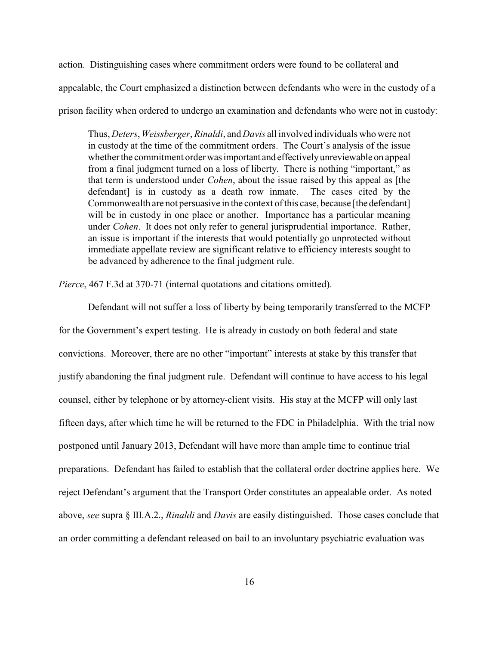action. Distinguishing cases where commitment orders were found to be collateral and appealable, the Court emphasized a distinction between defendants who were in the custody of a prison facility when ordered to undergo an examination and defendants who were not in custody:

Thus, *Deters*, *Weissberger*, *Rinaldi*, and *Davis* all involved individuals who were not in custody at the time of the commitment orders. The Court's analysis of the issue whether the commitment order was important and effectively unreviewable on appeal from a final judgment turned on a loss of liberty. There is nothing "important," as that term is understood under *Cohen*, about the issue raised by this appeal as [the defendant] is in custody as a death row inmate. The cases cited by the Commonwealth are not persuasive in the context of this case, because [the defendant] will be in custody in one place or another. Importance has a particular meaning under *Cohen*. It does not only refer to general jurisprudential importance. Rather, an issue is important if the interests that would potentially go unprotected without immediate appellate review are significant relative to efficiency interests sought to be advanced by adherence to the final judgment rule.

*Pierce*, 467 F.3d at 370-71 (internal quotations and citations omitted).

Defendant will not suffer a loss of liberty by being temporarily transferred to the MCFP for the Government's expert testing. He is already in custody on both federal and state convictions. Moreover, there are no other "important" interests at stake by this transfer that justify abandoning the final judgment rule. Defendant will continue to have access to his legal counsel, either by telephone or by attorney-client visits. His stay at the MCFP will only last fifteen days, after which time he will be returned to the FDC in Philadelphia. With the trial now postponed until January 2013, Defendant will have more than ample time to continue trial preparations. Defendant has failed to establish that the collateral order doctrine applies here. We reject Defendant's argument that the Transport Order constitutes an appealable order. As noted above, *see* supra § III.A.2., *Rinaldi* and *Davis* are easily distinguished. Those cases conclude that an order committing a defendant released on bail to an involuntary psychiatric evaluation was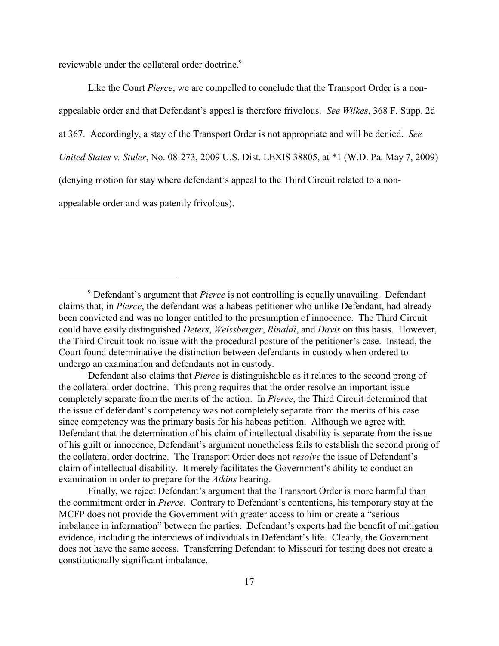reviewable under the collateral order doctrine.<sup>9</sup>

Like the Court *Pierce*, we are compelled to conclude that the Transport Order is a nonappealable order and that Defendant's appeal is therefore frivolous. *See Wilkes*, 368 F. Supp. 2d at 367. Accordingly, a stay of the Transport Order is not appropriate and will be denied. *See United States v. Stuler*, No. 08-273, 2009 U.S. Dist. LEXIS 38805, at \*1 (W.D. Pa. May 7, 2009) (denying motion for stay where defendant's appeal to the Third Circuit related to a nonappealable order and was patently frivolous).

<sup>&</sup>lt;sup>9</sup> Defendant's argument that *Pierce* is not controlling is equally unavailing. Defendant claims that, in *Pierce*, the defendant was a habeas petitioner who unlike Defendant, had already been convicted and was no longer entitled to the presumption of innocence. The Third Circuit could have easily distinguished *Deters*, *Weissberger*, *Rinaldi*, and *Davis* on this basis. However, the Third Circuit took no issue with the procedural posture of the petitioner's case. Instead, the Court found determinative the distinction between defendants in custody when ordered to undergo an examination and defendants not in custody.

Defendant also claims that *Pierce* is distinguishable as it relates to the second prong of the collateral order doctrine. This prong requires that the order resolve an important issue completely separate from the merits of the action. In *Pierce*, the Third Circuit determined that the issue of defendant's competency was not completely separate from the merits of his case since competency was the primary basis for his habeas petition. Although we agree with Defendant that the determination of his claim of intellectual disability is separate from the issue of his guilt or innocence, Defendant's argument nonetheless fails to establish the second prong of the collateral order doctrine. The Transport Order does not *resolve* the issue of Defendant's claim of intellectual disability. It merely facilitates the Government's ability to conduct an examination in order to prepare for the *Atkins* hearing.

Finally, we reject Defendant's argument that the Transport Order is more harmful than the commitment order in *Pierce*. Contrary to Defendant's contentions, his temporary stay at the MCFP does not provide the Government with greater access to him or create a "serious imbalance in information" between the parties. Defendant's experts had the benefit of mitigation evidence, including the interviews of individuals in Defendant's life. Clearly, the Government does not have the same access. Transferring Defendant to Missouri for testing does not create a constitutionally significant imbalance.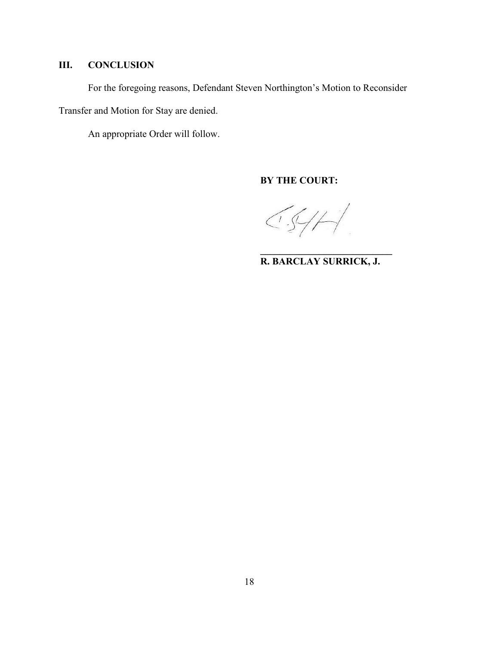# **III. CONCLUSION**

For the foregoing reasons, Defendant Steven Northington's Motion to Reconsider

Transfer and Motion for Stay are denied.

An appropriate Order will follow.

**BY THE COURT:**

 $CS/H$ 

**R. BARCLAY SURRICK, J.**

**\_\_\_\_\_\_\_\_\_\_\_\_\_\_\_\_\_\_\_\_\_\_\_\_\_\_\_**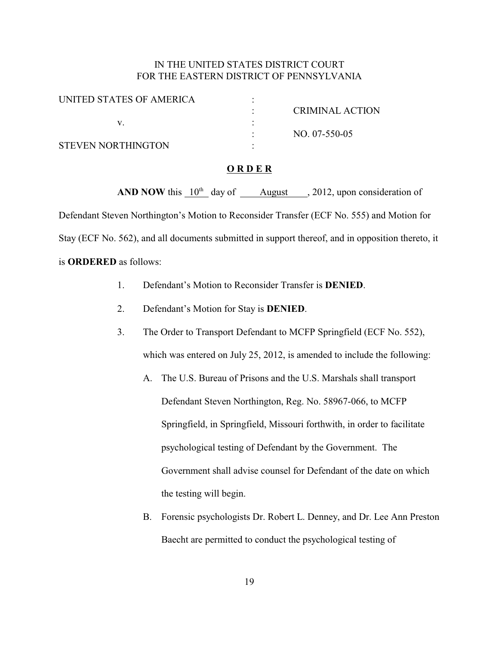# IN THE UNITED STATES DISTRICT COURT FOR THE EASTERN DISTRICT OF PENNSYLVANIA

| UNITED STATES OF AMERICA |                 |
|--------------------------|-----------------|
|                          | CRIMINAL ACTION |
|                          |                 |
|                          | NO. 07-550-05   |
| STEVEN NORTHINGTON       |                 |

#### **O R D E R**

**AND NOW** this  $10^{th}$  day of August , 2012, upon consideration of Defendant Steven Northington's Motion to Reconsider Transfer (ECF No. 555) and Motion for Stay (ECF No. 562), and all documents submitted in support thereof, and in opposition thereto, it is **ORDERED** as follows:

- 1. Defendant's Motion to Reconsider Transfer is **DENIED**.
- 2. Defendant's Motion for Stay is **DENIED**.
- 3. The Order to Transport Defendant to MCFP Springfield (ECF No. 552), which was entered on July 25, 2012, is amended to include the following:
	- A. The U.S. Bureau of Prisons and the U.S. Marshals shall transport Defendant Steven Northington, Reg. No. 58967-066, to MCFP Springfield, in Springfield, Missouri forthwith, in order to facilitate psychological testing of Defendant by the Government. The Government shall advise counsel for Defendant of the date on which the testing will begin.
	- B. Forensic psychologists Dr. Robert L. Denney, and Dr. Lee Ann Preston Baecht are permitted to conduct the psychological testing of